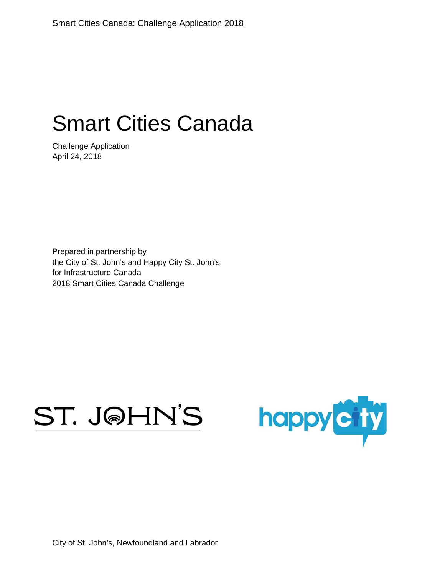# Smart Cities Canada

Challenge Application April 24, 2018

Prepared in partnership by the City of St. John's and Happy City St. John's for Infrastructure Canada 2018 Smart Cities Canada Challenge

# ST. J@HN'S



City of St. John's, Newfoundland and Labrador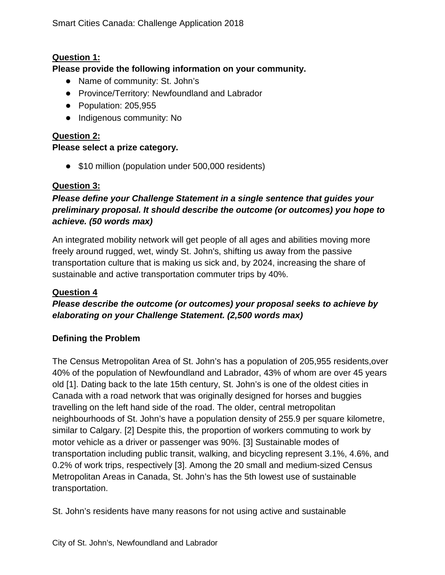# **Question 1:**

#### **Please provide the following information on your community.**

- Name of community: St. John's
- Province/Territory: Newfoundland and Labrador
- Population: 205,955
- Indigenous community: No

# **Question 2:**

#### **Please select a prize category.**

• \$10 million (population under 500,000 residents)

# **Question 3:**

# *Please define your Challenge Statement in a single sentence that guides your preliminary proposal. It should describe the outcome (or outcomes) you hope to achieve. (50 words max)*

An integrated mobility network will get people of all ages and abilities moving more freely around rugged, wet, windy St. John's, shifting us away from the passive transportation culture that is making us sick and, by 2024, increasing the share of sustainable and active transportation commuter trips by 40%.

#### **Question 4**

# *Please describe the outcome (or outcomes) your proposal seeks to achieve by elaborating on your Challenge Statement. (2,500 words max)*

#### **Defining the Problem**

The Census Metropolitan Area of St. John's has a population of 205,955 residents,over 40% of the population of Newfoundland and Labrador, 43% of whom are over 45 years old [1]. Dating back to the late 15th century, St. John's is one of the oldest cities in Canada with a road network that was originally designed for horses and buggies travelling on the left hand side of the road. The older, central metropolitan neighbourhoods of St. John's have a population density of 255.9 per square kilometre, similar to Calgary. [2] Despite this, the proportion of workers commuting to work by motor vehicle as a driver or passenger was 90%. [3] Sustainable modes of transportation including public transit, walking, and bicycling represent 3.1%, 4.6%, and 0.2% of work trips, respectively [3]. Among the 20 small and medium-sized Census Metropolitan Areas in Canada, St. John's has the 5th lowest use of sustainable transportation.

St. John's residents have many reasons for not using active and sustainable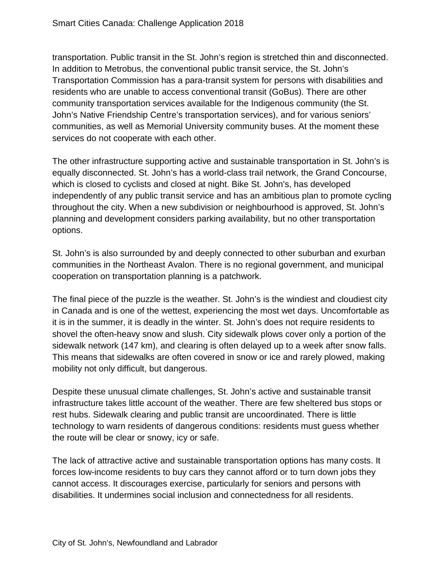transportation. Public transit in the St. John's region is stretched thin and disconnected. In addition to Metrobus, the conventional public transit service, the St. John's Transportation Commission has a para-transit system for persons with disabilities and residents who are unable to access conventional transit (GoBus). There are other community transportation services available for the Indigenous community (the St. John's Native Friendship Centre's transportation services), and for various seniors' communities, as well as Memorial University community buses. At the moment these services do not cooperate with each other.

The other infrastructure supporting active and sustainable transportation in St. John's is equally disconnected. St. John's has a world-class trail network, the Grand Concourse, which is closed to cyclists and closed at night. Bike St. John's, has developed independently of any public transit service and has an ambitious plan to promote cycling throughout the city. When a new subdivision or neighbourhood is approved, St. John's planning and development considers parking availability, but no other transportation options.

St. John's is also surrounded by and deeply connected to other suburban and exurban communities in the Northeast Avalon. There is no regional government, and municipal cooperation on transportation planning is a patchwork.

The final piece of the puzzle is the weather. St. John's is the windiest and cloudiest city in Canada and is one of the wettest, experiencing the most wet days. Uncomfortable as it is in the summer, it is deadly in the winter. St. John's does not require residents to shovel the often-heavy snow and slush. City sidewalk plows cover only a portion of the sidewalk network (147 km), and clearing is often delayed up to a week after snow falls. This means that sidewalks are often covered in snow or ice and rarely plowed, making mobility not only difficult, but dangerous.

Despite these unusual climate challenges, St. John's active and sustainable transit infrastructure takes little account of the weather. There are few sheltered bus stops or rest hubs. Sidewalk clearing and public transit are uncoordinated. There is little technology to warn residents of dangerous conditions: residents must guess whether the route will be clear or snowy, icy or safe.

The lack of attractive active and sustainable transportation options has many costs. It forces low-income residents to buy cars they cannot afford or to turn down jobs they cannot access. It discourages exercise, particularly for seniors and persons with disabilities. It undermines social inclusion and connectedness for all residents.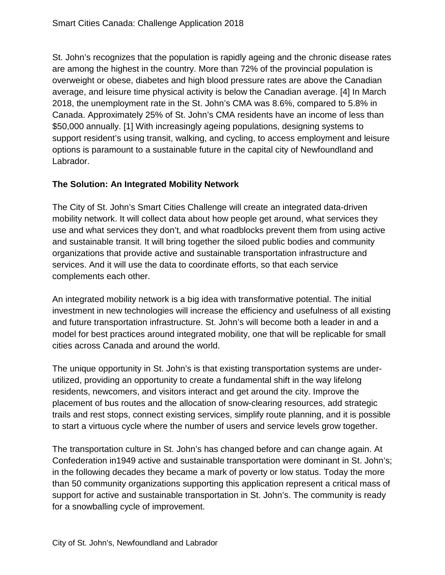St. John's recognizes that the population is rapidly ageing and the chronic disease rates are among the highest in the country. More than 72% of the provincial population is overweight or obese, diabetes and high blood pressure rates are above the Canadian average, and leisure time physical activity is below the Canadian average. [4] In March 2018, the unemployment rate in the St. John's CMA was 8.6%, compared to 5.8% in Canada. Approximately 25% of St. John's CMA residents have an income of less than \$50,000 annually. [1] With increasingly ageing populations, designing systems to support resident's using transit, walking, and cycling, to access employment and leisure options is paramount to a sustainable future in the capital city of Newfoundland and Labrador.

#### **The Solution: An Integrated Mobility Network**

The City of St. John's Smart Cities Challenge will create an integrated data-driven mobility network. It will collect data about how people get around, what services they use and what services they don't, and what roadblocks prevent them from using active and sustainable transit. It will bring together the siloed public bodies and community organizations that provide active and sustainable transportation infrastructure and services. And it will use the data to coordinate efforts, so that each service complements each other.

An integrated mobility network is a big idea with transformative potential. The initial investment in new technologies will increase the efficiency and usefulness of all existing and future transportation infrastructure. St. John's will become both a leader in and a model for best practices around integrated mobility, one that will be replicable for small cities across Canada and around the world.

The unique opportunity in St. John's is that existing transportation systems are underutilized, providing an opportunity to create a fundamental shift in the way lifelong residents, newcomers, and visitors interact and get around the city. Improve the placement of bus routes and the allocation of snow-clearing resources, add strategic trails and rest stops, connect existing services, simplify route planning, and it is possible to start a virtuous cycle where the number of users and service levels grow together.

The transportation culture in St. John's has changed before and can change again. At Confederation in1949 active and sustainable transportation were dominant in St. John's; in the following decades they became a mark of poverty or low status. Today the more than 50 community organizations supporting this application represent a critical mass of support for active and sustainable transportation in St. John's. The community is ready for a snowballing cycle of improvement.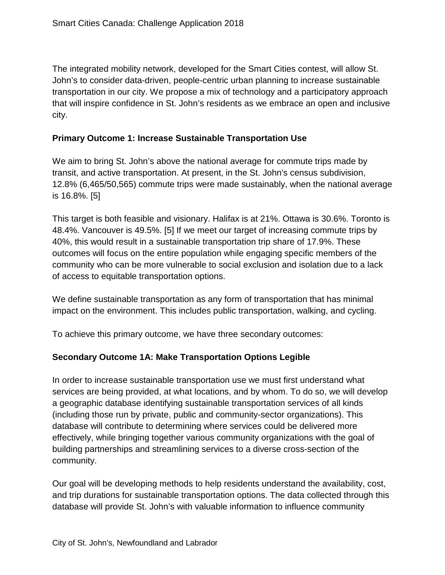The integrated mobility network, developed for the Smart Cities contest, will allow St. John's to consider data-driven, people-centric urban planning to increase sustainable transportation in our city. We propose a mix of technology and a participatory approach that will inspire confidence in St. John's residents as we embrace an open and inclusive city.

#### **Primary Outcome 1: Increase Sustainable Transportation Use**

We aim to bring St. John's above the national average for commute trips made by transit, and active transportation. At present, in the St. John's census subdivision, 12.8% (6,465/50,565) commute trips were made sustainably, when the national average is 16.8%. [5]

This target is both feasible and visionary. Halifax is at 21%. Ottawa is 30.6%. Toronto is 48.4%. Vancouver is 49.5%. [5] If we meet our target of increasing commute trips by 40%, this would result in a sustainable transportation trip share of 17.9%. These outcomes will focus on the entire population while engaging specific members of the community who can be more vulnerable to social exclusion and isolation due to a lack of access to equitable transportation options.

We define sustainable transportation as any form of transportation that has minimal impact on the environment. This includes public transportation, walking, and cycling.

To achieve this primary outcome, we have three secondary outcomes:

#### **Secondary Outcome 1A: Make Transportation Options Legible**

In order to increase sustainable transportation use we must first understand what services are being provided, at what locations, and by whom. To do so, we will develop a geographic database identifying sustainable transportation services of all kinds (including those run by private, public and community-sector organizations). This database will contribute to determining where services could be delivered more effectively, while bringing together various community organizations with the goal of building partnerships and streamlining services to a diverse cross-section of the community.

Our goal will be developing methods to help residents understand the availability, cost, and trip durations for sustainable transportation options. The data collected through this database will provide St. John's with valuable information to influence community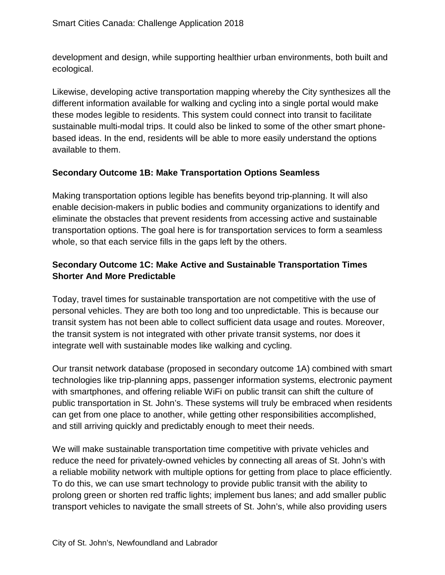development and design, while supporting healthier urban environments, both built and ecological.

Likewise, developing active transportation mapping whereby the City synthesizes all the different information available for walking and cycling into a single portal would make these modes legible to residents. This system could connect into transit to facilitate sustainable multi-modal trips. It could also be linked to some of the other smart phonebased ideas. In the end, residents will be able to more easily understand the options available to them.

# **Secondary Outcome 1B: Make Transportation Options Seamless**

Making transportation options legible has benefits beyond trip-planning. It will also enable decision-makers in public bodies and community organizations to identify and eliminate the obstacles that prevent residents from accessing active and sustainable transportation options. The goal here is for transportation services to form a seamless whole, so that each service fills in the gaps left by the others.

# **Secondary Outcome 1C: Make Active and Sustainable Transportation Times Shorter And More Predictable**

Today, travel times for sustainable transportation are not competitive with the use of personal vehicles. They are both too long and too unpredictable. This is because our transit system has not been able to collect sufficient data usage and routes. Moreover, the transit system is not integrated with other private transit systems, nor does it integrate well with sustainable modes like walking and cycling.

Our transit network database (proposed in secondary outcome 1A) combined with smart technologies like trip-planning apps, passenger information systems, electronic payment with smartphones, and offering reliable WiFi on public transit can shift the culture of public transportation in St. John's. These systems will truly be embraced when residents can get from one place to another, while getting other responsibilities accomplished, and still arriving quickly and predictably enough to meet their needs.

We will make sustainable transportation time competitive with private vehicles and reduce the need for privately-owned vehicles by connecting all areas of St. John's with a reliable mobility network with multiple options for getting from place to place efficiently. To do this, we can use smart technology to provide public transit with the ability to prolong green or shorten red traffic lights; implement bus lanes; and add smaller public transport vehicles to navigate the small streets of St. John's, while also providing users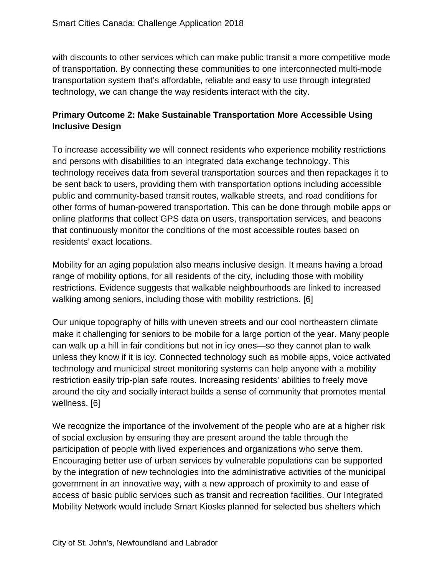with discounts to other services which can make public transit a more competitive mode of transportation. By connecting these communities to one interconnected multi-mode transportation system that's affordable, reliable and easy to use through integrated technology, we can change the way residents interact with the city.

# **Primary Outcome 2: Make Sustainable Transportation More Accessible Using Inclusive Design**

To increase accessibility we will connect residents who experience mobility restrictions and persons with disabilities to an integrated data exchange technology. This technology receives data from several transportation sources and then repackages it to be sent back to users, providing them with transportation options including accessible public and community-based transit routes, walkable streets, and road conditions for other forms of human-powered transportation. This can be done through mobile apps or online platforms that collect GPS data on users, transportation services, and beacons that continuously monitor the conditions of the most accessible routes based on residents' exact locations.

Mobility for an aging population also means inclusive design. It means having a broad range of mobility options, for all residents of the city, including those with mobility restrictions. Evidence suggests that walkable neighbourhoods are linked to increased walking among seniors, including those with mobility restrictions. [6]

Our unique topography of hills with uneven streets and our cool northeastern climate make it challenging for seniors to be mobile for a large portion of the year. Many people can walk up a hill in fair conditions but not in icy ones—so they cannot plan to walk unless they know if it is icy. Connected technology such as mobile apps, voice activated technology and municipal street monitoring systems can help anyone with a mobility restriction easily trip-plan safe routes. Increasing residents' abilities to freely move around the city and socially interact builds a sense of community that promotes mental wellness. [6]

We recognize the importance of the involvement of the people who are at a higher risk of social exclusion by ensuring they are present around the table through the participation of people with lived experiences and organizations who serve them. Encouraging better use of urban services by vulnerable populations can be supported by the integration of new technologies into the administrative activities of the municipal government in an innovative way, with a new approach of proximity to and ease of access of basic public services such as transit and recreation facilities. Our Integrated Mobility Network would include Smart Kiosks planned for selected bus shelters which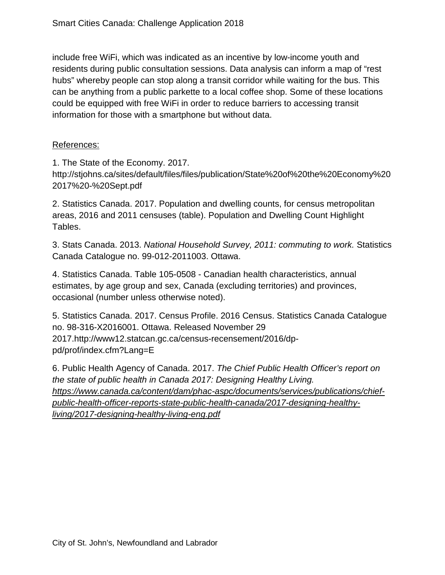include free WiFi, which was indicated as an incentive by low-income youth and residents during public consultation sessions. Data analysis can inform a map of "rest hubs" whereby people can stop along a transit corridor while waiting for the bus. This can be anything from a public parkette to a local coffee shop. Some of these locations could be equipped with free WiFi in order to reduce barriers to accessing transit information for those with a smartphone but without data.

#### References:

1. The State of the Economy. 2017.

http://stjohns.ca/sites/default/files/files/publication/State%20of%20the%20Economy%20 2017%20-%20Sept.pdf

2. Statistics Canada. 2017. Population and dwelling counts, for census metropolitan areas, 2016 and 2011 censuses (table). Population and Dwelling Count Highlight Tables.

3. Stats Canada. 2013. *National Household Survey, 2011: commuting to work.* Statistics Canada Catalogue no. 99-012-2011003. Ottawa.

4. Statistics Canada. Table 105-0508 - Canadian health characteristics, annual estimates, by age group and sex, Canada (excluding territories) and provinces, occasional (number unless otherwise noted).

5. Statistics Canada. 2017. Census Profile. 2016 Census. Statistics Canada Catalogue no. 98-316-X2016001. Ottawa. Released November 29 2017.http://www12.statcan.gc.ca/census-recensement/2016/dppd/prof/index.cfm?Lang=E

6. Public Health Agency of Canada. 2017. *The Chief Public Health Officer's report on the state of public health in Canada 2017: Designing Healthy Living. [https://www.canada.ca/content/dam/phac-aspc/documents/services/publications/chief](https://www.canada.ca/content/dam/phac-aspc/documents/services/publications/chief-public-health-officer-reports-state-public-health-canada/2017-designing-healthy-living/2017-designing-healthy-living-eng.pdf)[public-health-officer-reports-state-public-health-canada/2017-designing-healthy](https://www.canada.ca/content/dam/phac-aspc/documents/services/publications/chief-public-health-officer-reports-state-public-health-canada/2017-designing-healthy-living/2017-designing-healthy-living-eng.pdf)[living/2017-designing-healthy-living-eng.pdf](https://www.canada.ca/content/dam/phac-aspc/documents/services/publications/chief-public-health-officer-reports-state-public-health-canada/2017-designing-healthy-living/2017-designing-healthy-living-eng.pdf)*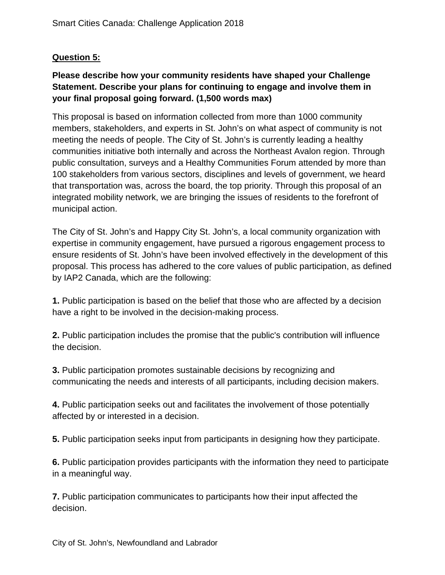# **Question 5:**

# **Please describe how your community residents have shaped your Challenge Statement. Describe your plans for continuing to engage and involve them in your final proposal going forward. (1,500 words max)**

This proposal is based on information collected from more than 1000 community members, stakeholders, and experts in St. John's on what aspect of community is not meeting the needs of people. The City of St. John's is currently leading a healthy communities initiative both internally and across the Northeast Avalon region. Through public consultation, surveys and a Healthy Communities Forum attended by more than 100 stakeholders from various sectors, disciplines and levels of government, we heard that transportation was, across the board, the top priority. Through this proposal of an integrated mobility network, we are bringing the issues of residents to the forefront of municipal action.

The City of St. John's and Happy City St. John's, a local community organization with expertise in community engagement, have pursued a rigorous engagement process to ensure residents of St. John's have been involved effectively in the development of this proposal. This process has adhered to the core values of public participation, as defined by IAP2 Canada, which are the following:

**1.** Public participation is based on the belief that those who are affected by a decision have a right to be involved in the decision-making process.

**2.** Public participation includes the promise that the public's contribution will influence the decision.

**3.** Public participation promotes sustainable decisions by recognizing and communicating the needs and interests of all participants, including decision makers.

**4.** Public participation seeks out and facilitates the involvement of those potentially affected by or interested in a decision.

**5.** Public participation seeks input from participants in designing how they participate.

**6.** Public participation provides participants with the information they need to participate in a meaningful way.

**7.** Public participation communicates to participants how their input affected the decision.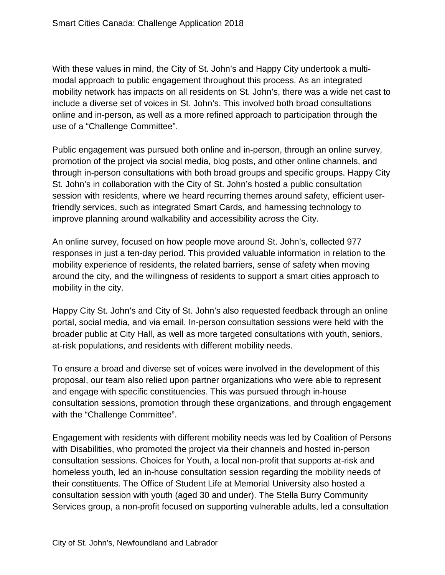With these values in mind, the City of St. John's and Happy City undertook a multimodal approach to public engagement throughout this process. As an integrated mobility network has impacts on all residents on St. John's, there was a wide net cast to include a diverse set of voices in St. John's. This involved both broad consultations online and in-person, as well as a more refined approach to participation through the use of a "Challenge Committee".

Public engagement was pursued both online and in-person, through an online survey, promotion of the project via social media, blog posts, and other online channels, and through in-person consultations with both broad groups and specific groups. Happy City St. John's in collaboration with the City of St. John's hosted a public consultation session with residents, where we heard recurring themes around safety, efficient userfriendly services, such as integrated Smart Cards, and harnessing technology to improve planning around walkability and accessibility across the City.

An online survey, focused on how people move around St. John's, collected 977 responses in just a ten-day period. This provided valuable information in relation to the mobility experience of residents, the related barriers, sense of safety when moving around the city, and the willingness of residents to support a smart cities approach to mobility in the city.

Happy City St. John's and City of St. John's also requested feedback through an online portal, social media, and via email. In-person consultation sessions were held with the broader public at City Hall, as well as more targeted consultations with youth, seniors, at-risk populations, and residents with different mobility needs.

To ensure a broad and diverse set of voices were involved in the development of this proposal, our team also relied upon partner organizations who were able to represent and engage with specific constituencies. This was pursued through in-house consultation sessions, promotion through these organizations, and through engagement with the "Challenge Committee".

Engagement with residents with different mobility needs was led by Coalition of Persons with Disabilities, who promoted the project via their channels and hosted in-person consultation sessions. Choices for Youth, a local non-profit that supports at-risk and homeless youth, led an in-house consultation session regarding the mobility needs of their constituents. The Office of Student Life at Memorial University also hosted a consultation session with youth (aged 30 and under). The Stella Burry Community Services group, a non-profit focused on supporting vulnerable adults, led a consultation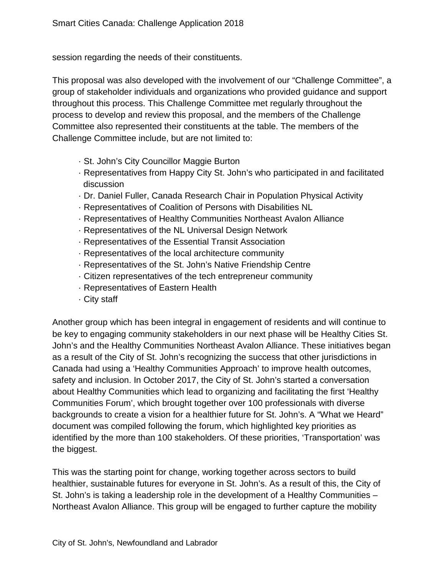session regarding the needs of their constituents.

This proposal was also developed with the involvement of our "Challenge Committee", a group of stakeholder individuals and organizations who provided guidance and support throughout this process. This Challenge Committee met regularly throughout the process to develop and review this proposal, and the members of the Challenge Committee also represented their constituents at the table. The members of the Challenge Committee include, but are not limited to:

- · St. John's City Councillor Maggie Burton
- · Representatives from Happy City St. John's who participated in and facilitated discussion
- · Dr. Daniel Fuller, Canada Research Chair in Population Physical Activity
- · Representatives of Coalition of Persons with Disabilities NL
- · Representatives of Healthy Communities Northeast Avalon Alliance
- · Representatives of the NL Universal Design Network
- · Representatives of the Essential Transit Association
- · Representatives of the local architecture community
- · Representatives of the St. John's Native Friendship Centre
- · Citizen representatives of the tech entrepreneur community
- · Representatives of Eastern Health
- · City staff

Another group which has been integral in engagement of residents and will continue to be key to engaging community stakeholders in our next phase will be Healthy Cities St. John's and the Healthy Communities Northeast Avalon Alliance. These initiatives began as a result of the City of St. John's recognizing the success that other jurisdictions in Canada had using a 'Healthy Communities Approach' to improve health outcomes, safety and inclusion. In October 2017, the City of St. John's started a conversation about Healthy Communities which lead to organizing and facilitating the first 'Healthy Communities Forum', which brought together over 100 professionals with diverse backgrounds to create a vision for a healthier future for St. John's. A "What we Heard" document was compiled following the forum, which highlighted key priorities as identified by the more than 100 stakeholders. Of these priorities, 'Transportation' was the biggest.

This was the starting point for change, working together across sectors to build healthier, sustainable futures for everyone in St. John's. As a result of this, the City of St. John's is taking a leadership role in the development of a Healthy Communities – Northeast Avalon Alliance. This group will be engaged to further capture the mobility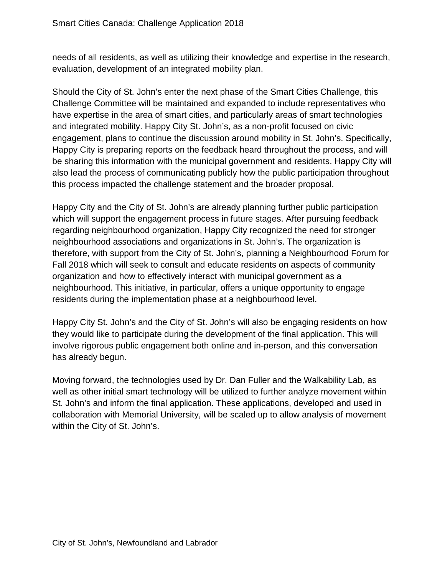needs of all residents, as well as utilizing their knowledge and expertise in the research, evaluation, development of an integrated mobility plan.

Should the City of St. John's enter the next phase of the Smart Cities Challenge, this Challenge Committee will be maintained and expanded to include representatives who have expertise in the area of smart cities, and particularly areas of smart technologies and integrated mobility. Happy City St. John's, as a non-profit focused on civic engagement, plans to continue the discussion around mobility in St. John's. Specifically, Happy City is preparing reports on the feedback heard throughout the process, and will be sharing this information with the municipal government and residents. Happy City will also lead the process of communicating publicly how the public participation throughout this process impacted the challenge statement and the broader proposal.

Happy City and the City of St. John's are already planning further public participation which will support the engagement process in future stages. After pursuing feedback regarding neighbourhood organization, Happy City recognized the need for stronger neighbourhood associations and organizations in St. John's. The organization is therefore, with support from the City of St. John's, planning a Neighbourhood Forum for Fall 2018 which will seek to consult and educate residents on aspects of community organization and how to effectively interact with municipal government as a neighbourhood. This initiative, in particular, offers a unique opportunity to engage residents during the implementation phase at a neighbourhood level.

Happy City St. John's and the City of St. John's will also be engaging residents on how they would like to participate during the development of the final application. This will involve rigorous public engagement both online and in-person, and this conversation has already begun.

Moving forward, the technologies used by Dr. Dan Fuller and the Walkability Lab, as well as other initial smart technology will be utilized to further analyze movement within St. John's and inform the final application. These applications, developed and used in collaboration with Memorial University, will be scaled up to allow analysis of movement within the City of St. John's.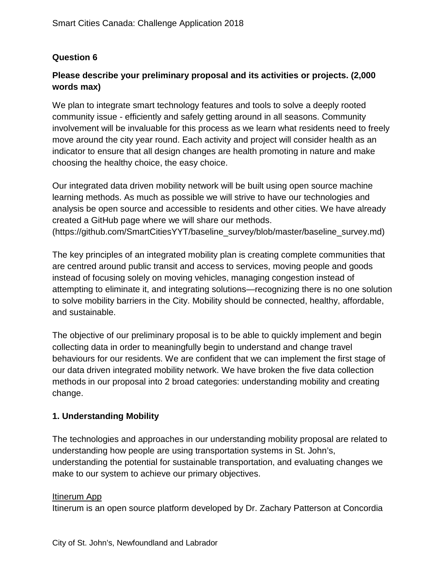# **Question 6**

# **Please describe your preliminary proposal and its activities or projects. (2,000 words max)**

We plan to integrate smart technology features and tools to solve a deeply rooted community issue - efficiently and safely getting around in all seasons. Community involvement will be invaluable for this process as we learn what residents need to freely move around the city year round. Each activity and project will consider health as an indicator to ensure that all design changes are health promoting in nature and make choosing the healthy choice, the easy choice.

Our integrated data driven mobility network will be built using open source machine learning methods. As much as possible we will strive to have our technologies and analysis be open source and accessible to residents and other cities. We have already created a GitHub page where we will share our methods. (https://github.com/SmartCitiesYYT/baseline\_survey/blob/master/baseline\_survey.md)

The key principles of an integrated mobility plan is creating complete communities that are centred around public transit and access to services, moving people and goods instead of focusing solely on moving vehicles, managing congestion instead of attempting to eliminate it, and integrating solutions—recognizing there is no one solution to solve mobility barriers in the City. Mobility should be connected, healthy, affordable, and sustainable.

The objective of our preliminary proposal is to be able to quickly implement and begin collecting data in order to meaningfully begin to understand and change travel behaviours for our residents. We are confident that we can implement the first stage of our data driven integrated mobility network. We have broken the five data collection methods in our proposal into 2 broad categories: understanding mobility and creating change.

#### **1. Understanding Mobility**

The technologies and approaches in our understanding mobility proposal are related to understanding how people are using transportation systems in St. John's, understanding the potential for sustainable transportation, and evaluating changes we make to our system to achieve our primary objectives.

#### Itinerum App

Itinerum is an open source platform developed by Dr. Zachary Patterson at Concordia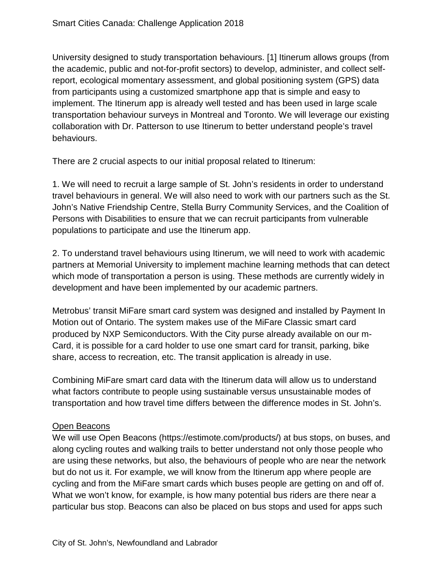University designed to study transportation behaviours. [1] Itinerum allows groups (from the academic, public and not-for-profit sectors) to develop, administer, and collect selfreport, ecological momentary assessment, and global positioning system (GPS) data from participants using a customized smartphone app that is simple and easy to implement. The Itinerum app is already well tested and has been used in large scale transportation behaviour surveys in Montreal and Toronto. We will leverage our existing collaboration with Dr. Patterson to use Itinerum to better understand people's travel behaviours.

There are 2 crucial aspects to our initial proposal related to Itinerum:

1. We will need to recruit a large sample of St. John's residents in order to understand travel behaviours in general. We will also need to work with our partners such as the St. John's Native Friendship Centre, Stella Burry Community Services, and the Coalition of Persons with Disabilities to ensure that we can recruit participants from vulnerable populations to participate and use the Itinerum app.

2. To understand travel behaviours using Itinerum, we will need to work with academic partners at Memorial University to implement machine learning methods that can detect which mode of transportation a person is using. These methods are currently widely in development and have been implemented by our academic partners.

Metrobus' transit MiFare smart card system was designed and installed by Payment In Motion out of Ontario. The system makes use of the MiFare Classic smart card produced by NXP Semiconductors. With the City purse already available on our m-Card, it is possible for a card holder to use one smart card for transit, parking, bike share, access to recreation, etc. The transit application is already in use.

Combining MiFare smart card data with the Itinerum data will allow us to understand what factors contribute to people using sustainable versus unsustainable modes of transportation and how travel time differs between the difference modes in St. John's.

#### Open Beacons

We will use Open Beacons (https://estimote.com/products/) at bus stops, on buses, and along cycling routes and walking trails to better understand not only those people who are using these networks, but also, the behaviours of people who are near the network but do not us it. For example, we will know from the Itinerum app where people are cycling and from the MiFare smart cards which buses people are getting on and off of. What we won't know, for example, is how many potential bus riders are there near a particular bus stop. Beacons can also be placed on bus stops and used for apps such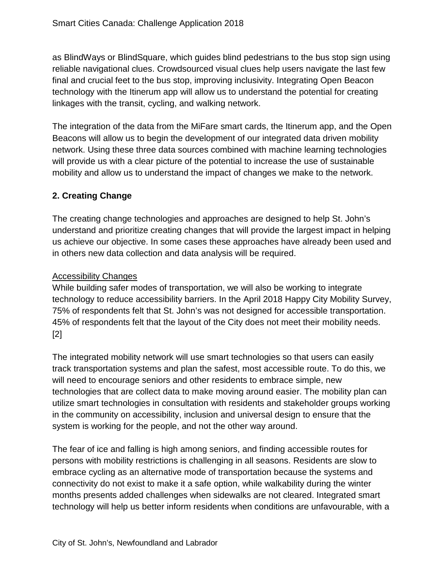as BlindWays or BlindSquare, which guides blind pedestrians to the bus stop sign using reliable navigational clues. Crowdsourced visual clues help users navigate the last few final and crucial feet to the bus stop, improving inclusivity. Integrating Open Beacon technology with the Itinerum app will allow us to understand the potential for creating linkages with the transit, cycling, and walking network.

The integration of the data from the MiFare smart cards, the Itinerum app, and the Open Beacons will allow us to begin the development of our integrated data driven mobility network. Using these three data sources combined with machine learning technologies will provide us with a clear picture of the potential to increase the use of sustainable mobility and allow us to understand the impact of changes we make to the network.

# **2. Creating Change**

The creating change technologies and approaches are designed to help St. John's understand and prioritize creating changes that will provide the largest impact in helping us achieve our objective. In some cases these approaches have already been used and in others new data collection and data analysis will be required.

#### Accessibility Changes

While building safer modes of transportation, we will also be working to integrate technology to reduce accessibility barriers. In the April 2018 Happy City Mobility Survey, 75% of respondents felt that St. John's was not designed for accessible transportation. 45% of respondents felt that the layout of the City does not meet their mobility needs. [2]

The integrated mobility network will use smart technologies so that users can easily track transportation systems and plan the safest, most accessible route. To do this, we will need to encourage seniors and other residents to embrace simple, new technologies that are collect data to make moving around easier. The mobility plan can utilize smart technologies in consultation with residents and stakeholder groups working in the community on accessibility, inclusion and universal design to ensure that the system is working for the people, and not the other way around.

The fear of ice and falling is high among seniors, and finding accessible routes for persons with mobility restrictions is challenging in all seasons. Residents are slow to embrace cycling as an alternative mode of transportation because the systems and connectivity do not exist to make it a safe option, while walkability during the winter months presents added challenges when sidewalks are not cleared. Integrated smart technology will help us better inform residents when conditions are unfavourable, with a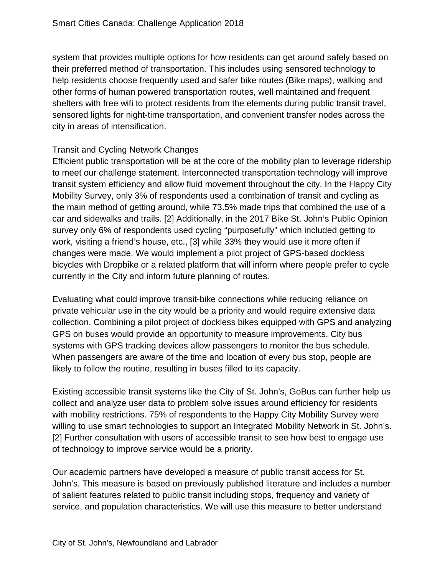system that provides multiple options for how residents can get around safely based on their preferred method of transportation. This includes using sensored technology to help residents choose frequently used and safer bike routes (Bike maps), walking and other forms of human powered transportation routes, well maintained and frequent shelters with free wifi to protect residents from the elements during public transit travel, sensored lights for night-time transportation, and convenient transfer nodes across the city in areas of intensification.

# Transit and Cycling Network Changes

Efficient public transportation will be at the core of the mobility plan to leverage ridership to meet our challenge statement. Interconnected transportation technology will improve transit system efficiency and allow fluid movement throughout the city. In the Happy City Mobility Survey, only 3% of respondents used a combination of transit and cycling as the main method of getting around, while 73.5% made trips that combined the use of a car and sidewalks and trails. [2] Additionally, in the 2017 Bike St. John's Public Opinion survey only 6% of respondents used cycling "purposefully" which included getting to work, visiting a friend's house, etc., [3] while 33% they would use it more often if changes were made. We would implement a pilot project of GPS-based dockless bicycles with Dropbike or a related platform that will inform where people prefer to cycle currently in the City and inform future planning of routes.

Evaluating what could improve transit-bike connections while reducing reliance on private vehicular use in the city would be a priority and would require extensive data collection. Combining a pilot project of dockless bikes equipped with GPS and analyzing GPS on buses would provide an opportunity to measure improvements. City bus systems with GPS tracking devices allow passengers to monitor the bus schedule. When passengers are aware of the time and location of every bus stop, people are likely to follow the routine, resulting in buses filled to its capacity.

Existing accessible transit systems like the City of St. John's, GoBus can further help us collect and analyze user data to problem solve issues around efficiency for residents with mobility restrictions. 75% of respondents to the Happy City Mobility Survey were willing to use smart technologies to support an Integrated Mobility Network in St. John's. [2] Further consultation with users of accessible transit to see how best to engage use of technology to improve service would be a priority.

Our academic partners have developed a measure of public transit access for St. John's. This measure is based on previously published literature and includes a number of salient features related to public transit including stops, frequency and variety of service, and population characteristics. We will use this measure to better understand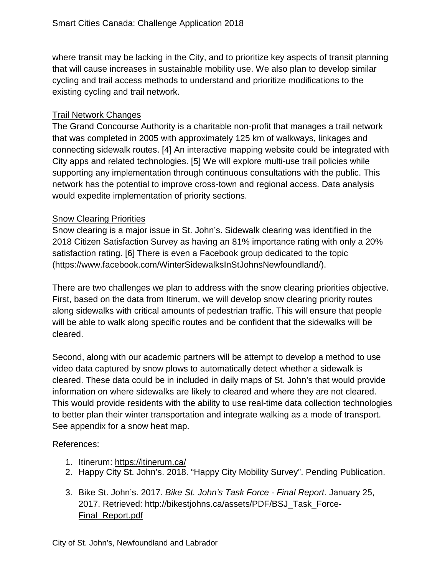where transit may be lacking in the City, and to prioritize key aspects of transit planning that will cause increases in sustainable mobility use. We also plan to develop similar cycling and trail access methods to understand and prioritize modifications to the existing cycling and trail network.

#### Trail Network Changes

The Grand Concourse Authority is a charitable non-profit that manages a trail network that was completed in 2005 with approximately 125 km of walkways, linkages and connecting sidewalk routes. [4] An interactive mapping website could be integrated with City apps and related technologies. [5] We will explore multi-use trail policies while supporting any implementation through continuous consultations with the public. This network has the potential to improve cross-town and regional access. Data analysis would expedite implementation of priority sections.

#### Snow Clearing Priorities

Snow clearing is a major issue in St. John's. Sidewalk clearing was identified in the 2018 Citizen Satisfaction Survey as having an 81% importance rating with only a 20% satisfaction rating. [6] There is even a Facebook group dedicated to the topic (https://www.facebook.com/WinterSidewalksInStJohnsNewfoundland/).

There are two challenges we plan to address with the snow clearing priorities objective. First, based on the data from Itinerum, we will develop snow clearing priority routes along sidewalks with critical amounts of pedestrian traffic. This will ensure that people will be able to walk along specific routes and be confident that the sidewalks will be cleared.

Second, along with our academic partners will be attempt to develop a method to use video data captured by snow plows to automatically detect whether a sidewalk is cleared. These data could be in included in daily maps of St. John's that would provide information on where sidewalks are likely to cleared and where they are not cleared. This would provide residents with the ability to use real-time data collection technologies to better plan their winter transportation and integrate walking as a mode of transport. See appendix for a snow heat map.

#### References:

- 1. Itinerum:<https://itinerum.ca/>
- 2. Happy City St. John's. 2018. "Happy City Mobility Survey". Pending Publication.
- 3. Bike St. John's. 2017. *Bike St. John's Task Force - Final Report*. January 25, 2017. Retrieved: [http://bikestjohns.ca/assets/PDF/BSJ\\_Task\\_Force-](http://bikestjohns.ca/assets/PDF/BSJ_Task_Force-Final_Report.pdf)[Final\\_Report.pdf](http://bikestjohns.ca/assets/PDF/BSJ_Task_Force-Final_Report.pdf)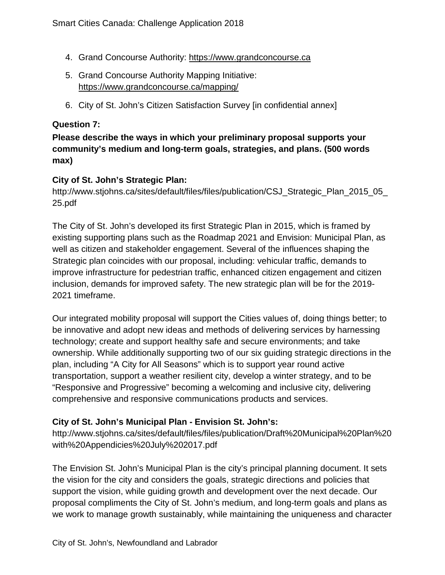- 4. Grand Concourse Authority: [https://www.grandconcourse.ca](https://www.grandconcourse.ca/)
- 5. Grand Concourse Authority Mapping Initiative: <https://www.grandconcourse.ca/mapping/>
- 6. City of St. John's Citizen Satisfaction Survey [in confidential annex]

#### **Question 7:**

# **Please describe the ways in which your preliminary proposal supports your community's medium and long-term goals, strategies, and plans. (500 words max)**

#### **City of St. John's Strategic Plan:**

http://www.stjohns.ca/sites/default/files/files/publication/CSJ\_Strategic\_Plan\_2015\_05\_ 25.pdf

The City of St. John's developed its first Strategic Plan in 2015, which is framed by existing supporting plans such as the Roadmap 2021 and Envision: Municipal Plan, as well as citizen and stakeholder engagement. Several of the influences shaping the Strategic plan coincides with our proposal, including: vehicular traffic, demands to improve infrastructure for pedestrian traffic, enhanced citizen engagement and citizen inclusion, demands for improved safety. The new strategic plan will be for the 2019- 2021 timeframe.

Our integrated mobility proposal will support the Cities values of, doing things better; to be innovative and adopt new ideas and methods of delivering services by harnessing technology; create and support healthy safe and secure environments; and take ownership. While additionally supporting two of our six guiding strategic directions in the plan, including "A City for All Seasons" which is to support year round active transportation, support a weather resilient city, develop a winter strategy, and to be "Responsive and Progressive" becoming a welcoming and inclusive city, delivering comprehensive and responsive communications products and services.

#### **City of St. John's Municipal Plan - Envision St. John's:**

http://www.stjohns.ca/sites/default/files/files/publication/Draft%20Municipal%20Plan%20 with%20Appendicies%20July%202017.pdf

The Envision St. John's Municipal Plan is the city's principal planning document. It sets the vision for the city and considers the goals, strategic directions and policies that support the vision, while guiding growth and development over the next decade. Our proposal compliments the City of St. John's medium, and long-term goals and plans as we work to manage growth sustainably, while maintaining the uniqueness and character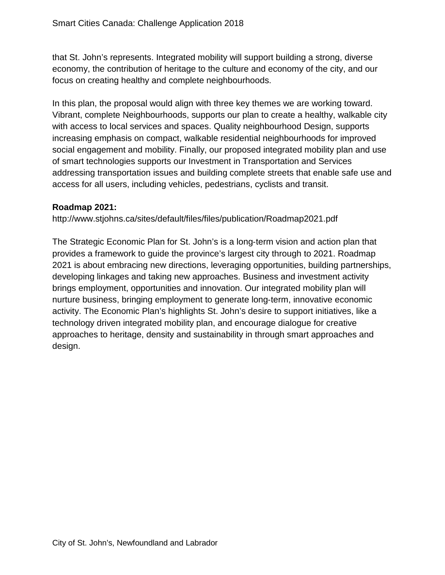that St. John's represents. Integrated mobility will support building a strong, diverse economy, the contribution of heritage to the culture and economy of the city, and our focus on creating healthy and complete neighbourhoods.

In this plan, the proposal would align with three key themes we are working toward. Vibrant, complete Neighbourhoods, supports our plan to create a healthy, walkable city with access to local services and spaces. Quality neighbourhood Design, supports increasing emphasis on compact, walkable residential neighbourhoods for improved social engagement and mobility. Finally, our proposed integrated mobility plan and use of smart technologies supports our Investment in Transportation and Services addressing transportation issues and building complete streets that enable safe use and access for all users, including vehicles, pedestrians, cyclists and transit.

#### **Roadmap 2021:**

http://www.stjohns.ca/sites/default/files/files/publication/Roadmap2021.pdf

The Strategic Economic Plan for St. John's is a long‐term vision and action plan that provides a framework to guide the province's largest city through to 2021. Roadmap 2021 is about embracing new directions, leveraging opportunities, building partnerships, developing linkages and taking new approaches. Business and investment activity brings employment, opportunities and innovation. Our integrated mobility plan will nurture business, bringing employment to generate long‐term, innovative economic activity. The Economic Plan's highlights St. John's desire to support initiatives, like a technology driven integrated mobility plan, and encourage dialogue for creative approaches to heritage, density and sustainability in through smart approaches and design.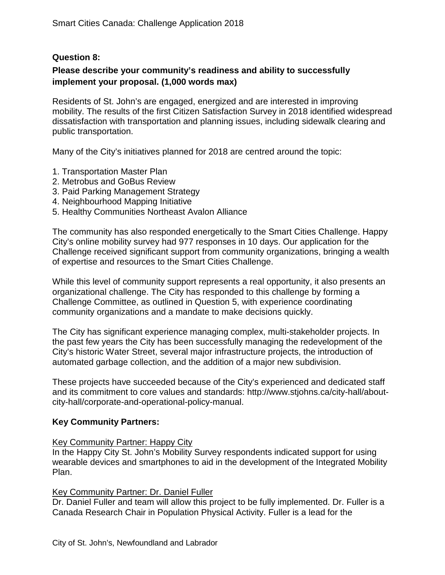#### **Question 8:**

#### **Please describe your community's readiness and ability to successfully implement your proposal. (1,000 words max)**

Residents of St. John's are engaged, energized and are interested in improving mobility. The results of the first Citizen Satisfaction Survey in 2018 identified widespread dissatisfaction with transportation and planning issues, including sidewalk clearing and public transportation.

Many of the City's initiatives planned for 2018 are centred around the topic:

- 1. Transportation Master Plan
- 2. Metrobus and GoBus Review
- 3. Paid Parking Management Strategy
- 4. Neighbourhood Mapping Initiative
- 5. Healthy Communities Northeast Avalon Alliance

The community has also responded energetically to the Smart Cities Challenge. Happy City's online mobility survey had 977 responses in 10 days. Our application for the Challenge received significant support from community organizations, bringing a wealth of expertise and resources to the Smart Cities Challenge.

While this level of community support represents a real opportunity, it also presents an organizational challenge. The City has responded to this challenge by forming a Challenge Committee, as outlined in Question 5, with experience coordinating community organizations and a mandate to make decisions quickly.

The City has significant experience managing complex, multi-stakeholder projects. In the past few years the City has been successfully managing the redevelopment of the City's historic Water Street, several major infrastructure projects, the introduction of automated garbage collection, and the addition of a major new subdivision.

These projects have succeeded because of the City's experienced and dedicated staff and its commitment to core values and standards: http://www.stjohns.ca/city-hall/aboutcity-hall/corporate-and-operational-policy-manual.

#### **Key Community Partners:**

#### Key Community Partner: Happy City

In the Happy City St. John's Mobility Survey respondents indicated support for using wearable devices and smartphones to aid in the development of the Integrated Mobility Plan.

#### Key Community Partner: Dr. Daniel Fuller

Dr. Daniel Fuller and team will allow this project to be fully implemented. Dr. Fuller is a Canada Research Chair in Population Physical Activity. Fuller is a lead for the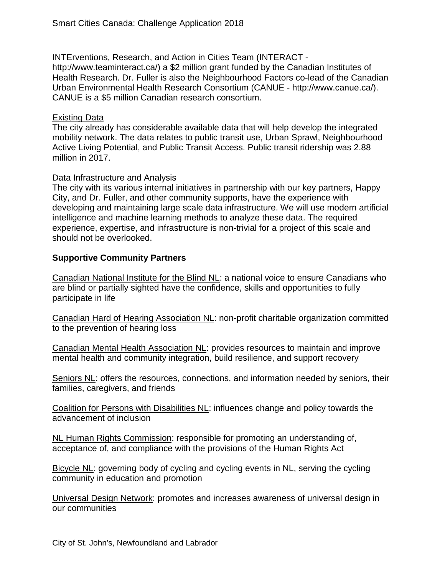INTErventions, Research, and Action in Cities Team (INTERACT http://www.teaminteract.ca/) a \$2 million grant funded by the Canadian Institutes of Health Research. Dr. Fuller is also the Neighbourhood Factors co-lead of the Canadian Urban Environmental Health Research Consortium (CANUE - http://www.canue.ca/). CANUE is a \$5 million Canadian research consortium.

#### Existing Data

The city already has considerable available data that will help develop the integrated mobility network. The data relates to public transit use, Urban Sprawl, Neighbourhood Active Living Potential, and Public Transit Access. Public transit ridership was 2.88 million in 2017.

#### Data Infrastructure and Analysis

The city with its various internal initiatives in partnership with our key partners, Happy City, and Dr. Fuller, and other community supports, have the experience with developing and maintaining large scale data infrastructure. We will use modern artificial intelligence and machine learning methods to analyze these data. The required experience, expertise, and infrastructure is non-trivial for a project of this scale and should not be overlooked.

#### **Supportive Community Partners**

Canadian National Institute for the Blind NL: a national voice to ensure Canadians who are blind or partially sighted have the confidence, skills and opportunities to fully participate in life

Canadian Hard of Hearing Association NL: non-profit charitable organization committed to the prevention of hearing loss

Canadian Mental Health Association NL: provides resources to maintain and improve mental health and community integration, build resilience, and support recovery

Seniors NL: offers the resources, connections, and information needed by seniors, their families, caregivers, and friends

Coalition for Persons with Disabilities NL: influences change and policy towards the advancement of inclusion

NL Human Rights Commission: responsible for promoting an understanding of, acceptance of, and compliance with the provisions of the Human Rights Act

Bicycle NL: governing body of cycling and cycling events in NL, serving the cycling community in education and promotion

Universal Design Network: promotes and increases awareness of universal design in our communities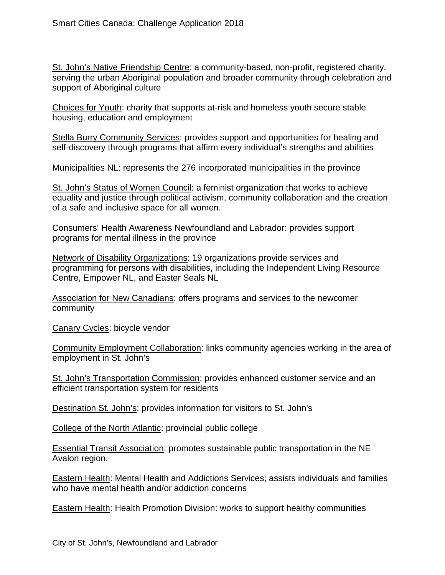St. John's Native Friendship Centre: a community-based, non-profit, registered charity, serving the urban Aboriginal population and broader community through celebration and support of Aboriginal culture

Choices for Youth: charity that supports at-risk and homeless youth secure stable housing, education and employment

Stella Burry Community Services: provides support and opportunities for healing and self-discovery through programs that affirm every individual's strengths and abilities

Municipalities NL: represents the 276 incorporated municipalities in the province

St. John's Status of Women Council: a feminist organization that works to achieve equality and justice through political activism, community collaboration and the creation of a safe and inclusive space for all women.

Consumers' Health Awareness Newfoundland and Labrador: provides support programs for mental illness in the province

Network of Disability Organizations: 19 organizations provide services and programming for persons with disabilities, including the Independent Living Resource Centre, Empower NL, and Easter Seals NL

Association for New Canadians: offers programs and services to the newcomer community

Canary Cycles: bicycle vendor

Community Employment Collaboration: links community agencies working in the area of employment in St. John's

St. John's Transportation Commission: provides enhanced customer service and an efficient transportation system for residents

Destination St. John's: provides information for visitors to St. John's

College of the North Atlantic: provincial public college

Essential Transit Association: promotes sustainable public transportation in the NE Avalon region.

Eastern Health: Mental Health and Addictions Services; assists individuals and families who have mental health and/or addiction concerns

Eastern Health: Health Promotion Division: works to support healthy communities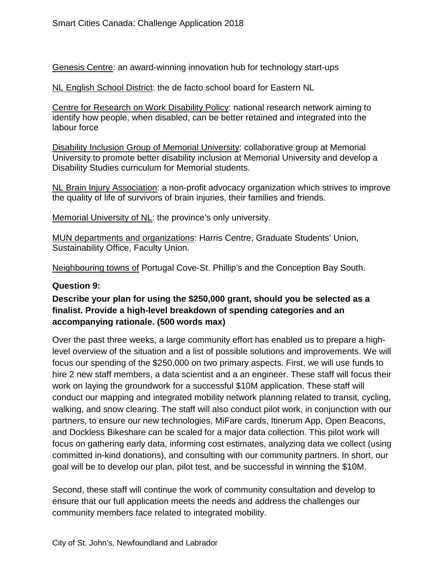Genesis Centre: an award-winning innovation hub for technology start-ups

NL English School District: the de facto school board for Eastern NL

Centre for Research on Work Disability Policy: national research network aiming to identify how people, when disabled, can be better retained and integrated into the labour force

Disability Inclusion Group of Memorial University: collaborative group at Memorial University to promote better disability inclusion at Memorial University and develop a Disability Studies curriculum for Memorial students.

NL Brain Injury Association: a non-profit advocacy organization which strives to improve the quality of life of survivors of brain injuries, their families and friends.

Memorial University of NL: the province's only university.

MUN departments and organizations: Harris Centre, Graduate Students' Union, Sustainability Office, Faculty Union.

Neighbouring towns of Portugal Cove-St. Phillip's and the Conception Bay South.

#### **Question 9:**

# **Describe your plan for using the \$250,000 grant, should you be selected as a finalist. Provide a high-level breakdown of spending categories and an accompanying rationale. (500 words max)**

Over the past three weeks, a large community effort has enabled us to prepare a highlevel overview of the situation and a list of possible solutions and improvements. We will focus our spending of the \$250,000 on two primary aspects. First, we will use funds to hire 2 new staff members, a data scientist and a an engineer. These staff will focus their work on laying the groundwork for a successful \$10M application. These staff will conduct our mapping and integrated mobility network planning related to transit, cycling, walking, and snow clearing. The staff will also conduct pilot work, in conjunction with our partners, to ensure our new technologies, MiFare cards, Itinerum App, Open Beacons, and Dockless Bikeshare can be scaled for a major data collection. This pilot work will focus on gathering early data, informing cost estimates, analyzing data we collect (using committed in-kind donations), and consulting with our community partners. In short, our goal will be to develop our plan, pilot test, and be successful in winning the \$10M.

Second, these staff will continue the work of community consultation and develop to ensure that our full application meets the needs and address the challenges our community members face related to integrated mobility.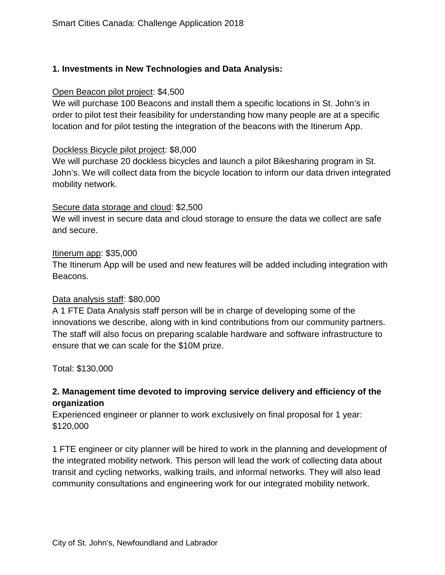# **1. Investments in New Technologies and Data Analysis:**

#### Open Beacon pilot project: \$4,500

We will purchase 100 Beacons and install them a specific locations in St. John's in order to pilot test their feasibility for understanding how many people are at a specific location and for pilot testing the integration of the beacons with the Itinerum App.

#### Dockless Bicycle pilot project: \$8,000

We will purchase 20 dockless bicycles and launch a pilot Bikesharing program in St. John's. We will collect data from the bicycle location to inform our data driven integrated mobility network.

#### Secure data storage and cloud: \$2,500

We will invest in secure data and cloud storage to ensure the data we collect are safe and secure.

#### Itinerum app: \$35,000

The Itinerum App will be used and new features will be added including integration with Beacons.

#### Data analysis staff: \$80,000

A 1 FTE Data Analysis staff person will be in charge of developing some of the innovations we describe, along with in kind contributions from our community partners. The staff will also focus on preparing scalable hardware and software infrastructure to ensure that we can scale for the \$10M prize.

Total: \$130,000

# **2. Management time devoted to improving service delivery and efficiency of the organization**

Experienced engineer or planner to work exclusively on final proposal for 1 year: \$120,000

1 FTE engineer or city planner will be hired to work in the planning and development of the integrated mobility network. This person will lead the work of collecting data about transit and cycling networks, walking trails, and informal networks. They will also lead community consultations and engineering work for our integrated mobility network.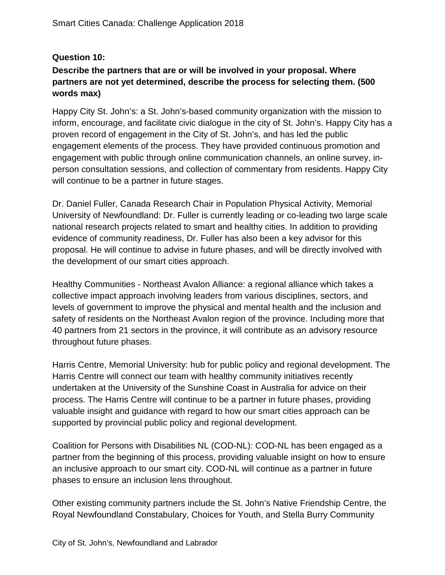# **Question 10:**

# **Describe the partners that are or will be involved in your proposal. Where partners are not yet determined, describe the process for selecting them. (500 words max)**

Happy City St. John's: a St. John's-based community organization with the mission to inform, encourage, and facilitate civic dialogue in the city of St. John's. Happy City has a proven record of engagement in the City of St. John's, and has led the public engagement elements of the process. They have provided continuous promotion and engagement with public through online communication channels, an online survey, inperson consultation sessions, and collection of commentary from residents. Happy City will continue to be a partner in future stages.

Dr. Daniel Fuller, Canada Research Chair in Population Physical Activity, Memorial University of Newfoundland: Dr. Fuller is currently leading or co-leading two large scale national research projects related to smart and healthy cities. In addition to providing evidence of community readiness, Dr. Fuller has also been a key advisor for this proposal. He will continue to advise in future phases, and will be directly involved with the development of our smart cities approach.

Healthy Communities - Northeast Avalon Alliance: a regional alliance which takes a collective impact approach involving leaders from various disciplines, sectors, and levels of government to improve the physical and mental health and the inclusion and safety of residents on the Northeast Avalon region of the province. Including more that 40 partners from 21 sectors in the province, it will contribute as an advisory resource throughout future phases.

Harris Centre, Memorial University: hub for public policy and regional development. The Harris Centre will connect our team with healthy community initiatives recently undertaken at the University of the Sunshine Coast in Australia for advice on their process. The Harris Centre will continue to be a partner in future phases, providing valuable insight and guidance with regard to how our smart cities approach can be supported by provincial public policy and regional development.

Coalition for Persons with Disabilities NL (COD-NL): COD-NL has been engaged as a partner from the beginning of this process, providing valuable insight on how to ensure an inclusive approach to our smart city. COD-NL will continue as a partner in future phases to ensure an inclusion lens throughout.

Other existing community partners include the St. John's Native Friendship Centre, the Royal Newfoundland Constabulary, Choices for Youth, and Stella Burry Community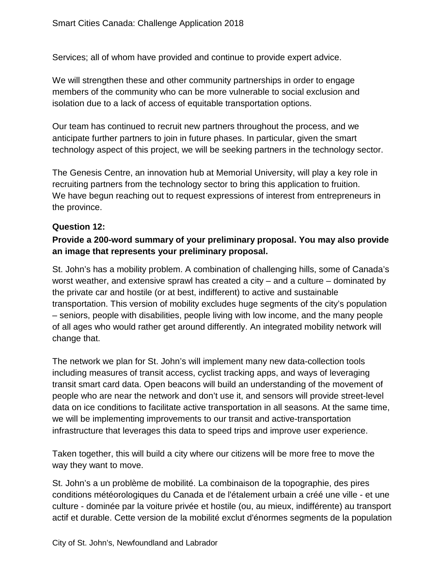Services; all of whom have provided and continue to provide expert advice.

We will strengthen these and other community partnerships in order to engage members of the community who can be more vulnerable to social exclusion and isolation due to a lack of access of equitable transportation options.

Our team has continued to recruit new partners throughout the process, and we anticipate further partners to join in future phases. In particular, given the smart technology aspect of this project, we will be seeking partners in the technology sector.

The Genesis Centre, an innovation hub at Memorial University, will play a key role in recruiting partners from the technology sector to bring this application to fruition. We have begun reaching out to request expressions of interest from entrepreneurs in the province.

#### **Question 12:**

# **Provide a 200-word summary of your preliminary proposal. You may also provide an image that represents your preliminary proposal.**

St. John's has a mobility problem. A combination of challenging hills, some of Canada's worst weather, and extensive sprawl has created a city – and a culture – dominated by the private car and hostile (or at best, indifferent) to active and sustainable transportation. This version of mobility excludes huge segments of the city's population – seniors, people with disabilities, people living with low income, and the many people of all ages who would rather get around differently. An integrated mobility network will change that.

The network we plan for St. John's will implement many new data-collection tools including measures of transit access, cyclist tracking apps, and ways of leveraging transit smart card data. Open beacons will build an understanding of the movement of people who are near the network and don't use it, and sensors will provide street-level data on ice conditions to facilitate active transportation in all seasons. At the same time, we will be implementing improvements to our transit and active-transportation infrastructure that leverages this data to speed trips and improve user experience.

Taken together, this will build a city where our citizens will be more free to move the way they want to move.

St. John's a un problème de mobilité. La combinaison de la topographie, des pires conditions météorologiques du Canada et de l'étalement urbain a créé une ville - et une culture - dominée par la voiture privée et hostile (ou, au mieux, indifférente) au transport actif et durable. Cette version de la mobilité exclut d'énormes segments de la population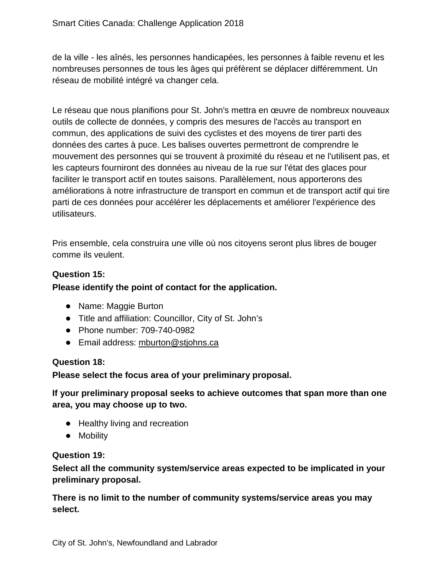de la ville - les aînés, les personnes handicapées, les personnes à faible revenu et les nombreuses personnes de tous les âges qui préfèrent se déplacer différemment. Un réseau de mobilité intégré va changer cela.

Le réseau que nous planifions pour St. John's mettra en œuvre de nombreux nouveaux outils de collecte de données, y compris des mesures de l'accès au transport en commun, des applications de suivi des cyclistes et des moyens de tirer parti des données des cartes à puce. Les balises ouvertes permettront de comprendre le mouvement des personnes qui se trouvent à proximité du réseau et ne l'utilisent pas, et les capteurs fourniront des données au niveau de la rue sur l'état des glaces pour faciliter le transport actif en toutes saisons. Parallèlement, nous apporterons des améliorations à notre infrastructure de transport en commun et de transport actif qui tire parti de ces données pour accélérer les déplacements et améliorer l'expérience des utilisateurs.

Pris ensemble, cela construira une ville où nos citoyens seront plus libres de bouger comme ils veulent.

#### **Question 15:**

#### **Please identify the point of contact for the application.**

- Name: Maggie Burton
- Title and affiliation: Councillor, City of St. John's
- Phone number: 709-740-0982
- Email address: [mburton@stjohns.ca](mailto:mburton@stjohns.ca)

#### **Question 18:**

**Please select the focus area of your preliminary proposal.**

**If your preliminary proposal seeks to achieve outcomes that span more than one area, you may choose up to two.**

- Healthy living and recreation
- Mobility

#### **Question 19:**

**Select all the community system/service areas expected to be implicated in your preliminary proposal.**

**There is no limit to the number of community systems/service areas you may select.**